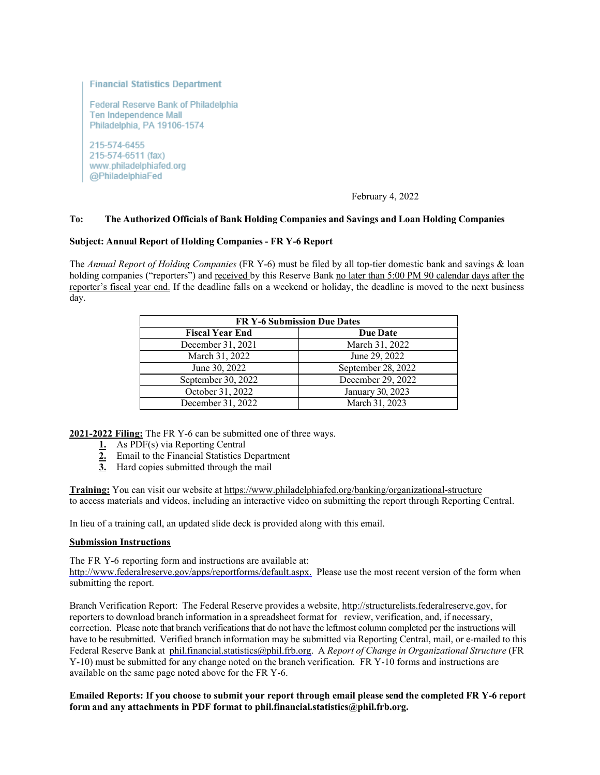## **Financial Statistics Department**

**Federal Reserve Bank of Philadelphia** Ten Independence Mall Philadelphia, PA 19106-1574

215-574-6455 215-574-6511 (fax) www.philadelphiafed.org @PhiladelphiaFed

# February 4, 2022

## **To: The Authorized Officials of Bank Holding Companies and Savings and Loan Holding Companies**

## **Subject: Annual Report of Holding Companies - FR Y-6 Report**

The *Annual Report of Holding Companies* (FR Y-6) must be filed by all top-tier domestic bank and savings & loan holding companies ("reporters") and received by this Reserve Bank no later than 5:00 PM 90 calendar days after the reporter's fiscal year end. If the deadline falls on a weekend or holiday, the deadline is moved to the next business day.

| <b>FR Y-6 Submission Due Dates</b> |                    |
|------------------------------------|--------------------|
| <b>Fiscal Year End</b>             | <b>Due Date</b>    |
| December 31, 2021                  | March 31, 2022     |
| March 31, 2022                     | June 29, 2022      |
| June 30, 2022                      | September 28, 2022 |
| September 30, 2022                 | December 29, 2022  |
| October 31, 2022                   | January 30, 2023   |
| December 31, 2022                  | March 31, 2023     |

**2021-2022 Filing:** The FR Y-6 can be submitted one of three ways.

- **1.** As PDF(s) via Reporting Central
- **2.** Email to the Financial Statistics Department
- **3.** Hard copies submitted through the mail

**Training:** You can visit our website at<https://www.philadelphiafed.org/banking/organizational-structure> to access materials and videos, including an interactive video on submitting the report through Reporting Central.

In lieu of a training call, an updated slide deck is provided along with this email.

#### **Submission Instructions**

The FR Y-6 reporting form and instructions are available at: [http://www.federalreserve.gov/apps/reportforms/default.aspx.](http://www.federalreserve.gov/apps/reportforms/default.aspx) Please use the most recent version of the form when submitting the report.

Branch Verification Report: The Federal Reserve provides a website, [http://structurelists.federalreserve.gov,](http://structurelists.federalreserve.gov/) for reporters to download branch information in a spreadsheet format for review, verification, and, if necessary, correction. Please note that branch verifications that do not have the leftmost column completed per the instructions will have to be resubmitted. Verified branch information may be submitted via Reporting Central, mail, or e-mailed to this Federal Reserve Bank at [phil.financial.statistics@phil.frb.org.](mailto:phil.financial.statistics@phil.frb.org) A *Report of Change in Organizational Structure* (FR Y-10) must be submitted for any change noted on the branch verification. FR Y-10 forms and instructions are available on the same page noted above for the FR Y-6.

# **Emailed Reports: If you choose to submit your report through email please send the completed FR Y-6 report form and any attachments in PDF format to phil.financial.statistics@phil.frb.org.**